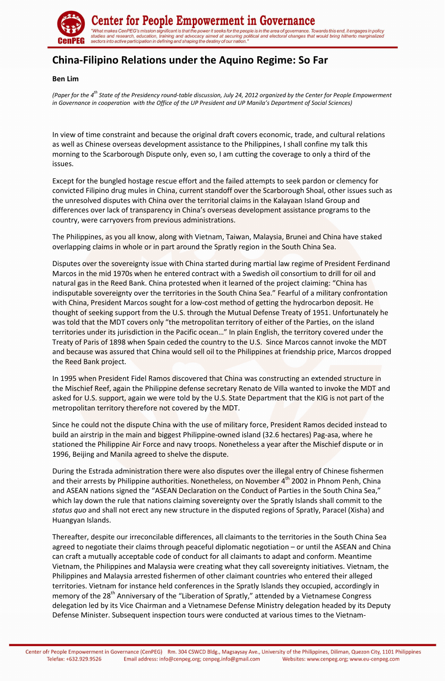

enter for People Empowerment in Governance' "What makes CenPEG's mission significant is that the power it seeks for the people is in the area of governance. Towards this end, it engages in policy<br>studies and research, education, training and advocacy aimed at securi

## **China-Filipino Relations under the Aquino Regime: So Far**

## **Ben Lim**

*(Paper for the 4th State of the Presidency round-table discussion, July 24, 2012 organized by the Center for People Empowerment in Governance in cooperation with the Office of the UP President and UP Manila's Department of Social Sciences*)

In view of time constraint and because the original draft covers economic, trade, and cultural relations as well as Chinese overseas development assistance to the Philippines, I shall confine my talk this morning to the Scarborough Dispute only, even so, I am cutting the coverage to only a third of the issues.

Except for the bungled hostage rescue effort and the failed attempts to seek pardon or clemency for convicted Filipino drug mules in China, current standoff over the Scarborough Shoal, other issues such as the unresolved disputes with China over the territorial claims in the Kalayaan Island Group and differences over lack of transparency in China's overseas development assistance programs to the country, were carryovers from previous administrations.

The Philippines, as you all know, along with Vietnam, Taiwan, Malaysia, Brunei and China have staked overlapping claims in whole or in part around the Spratly region in the South China Sea.

Disputes over the sovereignty issue with China started during martial law regime of President Ferdinand Marcos in the mid 1970s when he entered contract with a Swedish oil consortium to drill for oil and natural gas in the Reed Bank. China protested when it learned of the project claiming: "China has indisputable sovereignty over the territories in the South China Sea." Fearful of a military confrontation with China, President Marcos sought for a low-cost method of getting the hydrocarbon deposit. He thought of seeking support from the U.S. through the Mutual Defense Treaty of 1951. Unfortunately he was told that the MDT covers only "the metropolitan territory of either of the Parties, on the island territories under its jurisdiction in the Pacific ocean…" In plain English, the territory covered under the Treaty of Paris of 1898 when Spain ceded the country to the U.S. Since Marcos cannot invoke the MDT and because was assured that China would sell oil to the Philippines at friendship price, Marcos dropped the Reed Bank project.

In 1995 when President Fidel Ramos discovered that China was constructing an extended structure in the Mischief Reef, again the Philippine defense secretary Renato de Villa wanted to invoke the MDT and asked for U.S. support, again we were told by the U.S. State Department that the KIG is not part of the metropolitan territory therefore not covered by the MDT.

Since he could not the dispute China with the use of military force, President Ramos decided instead to build an airstrip in the main and biggest Philippine-owned island (32.6 hectares) Pag-asa, where he stationed the Philippine Air Force and navy troops. Nonetheless a year after the Mischief dispute or in 1996, Beijing and Manila agreed to shelve the dispute.

During the Estrada administration there were also disputes over the illegal entry of Chinese fishermen and their arrests by Philippine authorities. Nonetheless, on November 4<sup>th</sup> 2002 in Phnom Penh, China and ASEAN nations signed the "ASEAN Declaration on the Conduct of Parties in the South China Sea," which lay down the rule that nations claiming sovereignty over the Spratly Islands shall commit to the *status quo* and shall not erect any new structure in the disputed regions of Spratly, Paracel (Xisha) and Huangyan Islands.

Thereafter, despite our irreconcilable differences, all claimants to the territories in the South China Sea agreed to negotiate their claims through peaceful diplomatic negotiation – or until the ASEAN and China can craft a mutually acceptable code of conduct for all claimants to adapt and conform. Meantime Vietnam, the Philippines and Malaysia were creating what they call sovereignty initiatives. Vietnam, the Philippines and Malaysia arrested fishermen of other claimant countries who entered their alleged territories. Vietnam for instance held conferences in the Spratly Islands they occupied, accordingly in memory of the 28<sup>th</sup> Anniversary of the "Liberation of Spratly," attended by a Vietnamese Congress delegation led by its Vice Chairman and a Vietnamese Defense Ministry delegation headed by its Deputy Defense Minister. Subsequent inspection tours were conducted at various times to the Vietnam-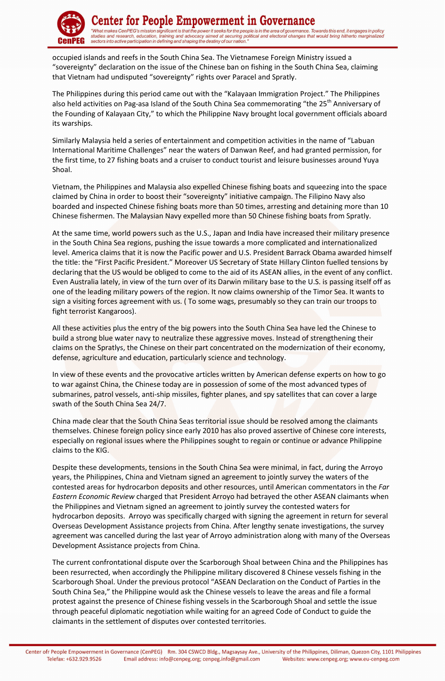

enter for People Empowerment in Governance "What makes CenPEG's mission significant is that the power it seeks for the people is in the area of governance. Towards this end, it engages in policy<br>studies and research, education, training and advocacy aimed at securi

occupied islands and reefs in the South China Sea. The Vietnamese Foreign Ministry issued a "sovereignty" declaration on the issue of the Chinese ban on fishing in the South China Sea, claiming that Vietnam had undisputed "sovereignty" rights over Paracel and Spratly.

The Philippines during this period came out with the "Kalayaan Immigration Project." The Philippines also held activities on Pag-asa Island of the South China Sea commemorating "the 25<sup>th</sup> Anniversary of the Founding of Kalayaan City," to which the Philippine Navy brought local government officials aboard its warships.

Similarly Malaysia held a series of entertainment and competition activities in the name of "Labuan International Maritime Challenges" near the waters of Danwan Reef, and had granted permission, for the first time, to 27 fishing boats and a cruiser to conduct tourist and leisure businesses around Yuya Shoal.

Vietnam, the Philippines and Malaysia also expelled Chinese fishing boats and squeezing into the space claimed by China in order to boost their "sovereignty" initiative campaign. The Filipino Navy also boarded and inspected Chinese fishing boats more than 50 times, arresting and detaining more than 10 Chinese fishermen. The Malaysian Navy expelled more than 50 Chinese fishing boats from Spratly.

At the same time, world powers such as the U.S., Japan and India have increased their military presence in the South China Sea regions, pushing the issue towards a more complicated and internationalized level. America claims that it is now the Pacific power and U.S. President Barrack Obama awarded himself the title: the "First Pacific President." Moreover US Secretary of State Hillary Clinton fuelled tensions by declaring that the US would be obliged to come to the aid of its ASEAN allies, in the event of any conflict. Even Australia lately, in view of the turn over of its Darwin military base to the U.S. is passing itself off as one of the leading military powers of the region. It now claims ownership of the Timor Sea. It wants to sign a visiting forces agreement with us. ( To some wags, presumably so they can train our troops to fight terrorist Kangaroos).

All these activities plus the entry of the big powers into the South China Sea have led the Chinese to build a strong blue water navy to neutralize these aggressive moves. Instead of strengthening their claims on the Spratlys, the Chinese on their part concentrated on the modernization of their economy, defense, agriculture and education, particularly science and technology.

In view of these events and the provocative articles written by American defense experts on how to go to war against China, the Chinese today are in possession of some of the most advanced types of submarines, patrol vessels, anti-ship missiles, fighter planes, and spy satellites that can cover a large swath of the South China Sea 24/7.

China made clear that the South China Seas territorial issue should be resolved among the claimants themselves. Chinese foreign policy since early 2010 has also proved assertive of Chinese core interests, especially on regional issues where the Philippines sought to regain or continue or advance Philippine claims to the KIG.

Despite these developments, tensions in the South China Sea were minimal, in fact, during the Arroyo years, the Philippines, China and Vietnam signed an agreement to jointly survey the waters of the contested areas for hydrocarbon deposits and other resources, until American commentators in the *Far Eastern Economic Review* charged that President Arroyo had betrayed the other ASEAN claimants when the Philippines and Vietnam signed an agreement to jointly survey the contested waters for hydrocarbon deposits. Arroyo was specifically charged with signing the agreement in return for several Overseas Development Assistance projects from China. After lengthy senate investigations, the survey agreement was cancelled during the last year of Arroyo administration along with many of the Overseas Development Assistance projects from China.

The current confrontational dispute over the Scarborough Shoal between China and the Philippines has been resurrected, when accordingly the Philippine military discovered 8 Chinese vessels fishing in the Scarborough Shoal. Under the previous protocol "ASEAN Declaration on the Conduct of Parties in the South China Sea," the Philippine would ask the Chinese vessels to leave the areas and file a formal protest against the presence of Chinese fishing vessels in the Scarborough Shoal and settle the issue through peaceful diplomatic negotiation while waiting for an agreed Code of Conduct to guide the claimants in the settlement of disputes over contested territories.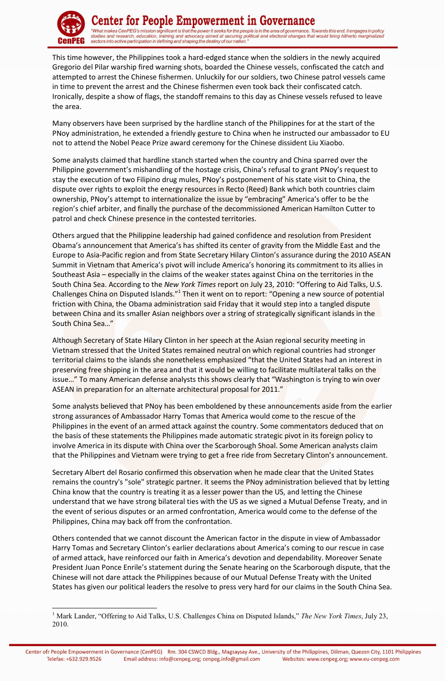

<u>.</u>

This time however, the Philippines took a hard-edged stance when the soldiers in the newly acquired Gregorio del Pilar warship fired warning shots, boarded the Chinese vessels, confiscated the catch and attempted to arrest the Chinese fishermen. Unluckily for our soldiers, two Chinese patrol vessels came in time to prevent the arrest and the Chinese fishermen even took back their confiscated catch. Ironically, despite a show of flags, the standoff remains to this day as Chinese vessels refused to leave the area.

Many observers have been surprised by the hardline stanch of the Philippines for at the start of the PNoy administration, he extended a friendly gesture to China when he instructed our ambassador to EU not to attend the Nobel Peace Prize award ceremony for the Chinese dissident Liu Xiaobo.

Some analysts claimed that hardline stanch started when the country and China sparred over the Philippine government's mishandling of the hostage crisis, China's refusal to grant PNoy's request to stay the execution of two Filipino drug mules, PNoy's postponement of his state visit to China, the dispute over rights to exploit the energy resources in Recto (Reed) Bank which both countries claim ownership, PNoy's attempt to internationalize the issue by "embracing" America's offer to be the region's chief arbiter, and finally the purchase of the decommissioned American Hamilton Cutter to patrol and check Chinese presence in the contested territories.

Others argued that the Philippine leadership had gained confidence and resolution from President Obama's announcement that America's has shifted its center of gravity from the Middle East and the Europe to Asia-Pacific region and from State Secretary Hilary Clinton's assurance during the 2010 ASEAN Summit in Vietnam that America's pivot will include America's honoring its commitment to its allies in Southeast Asia – especially in the claims of the weaker states against China on the territories in the South China Sea. According to the *New York Times* report on July 23, 2010: "Offering to Aid Talks, U.S. Challenges China on Disputed Islands."<sup>1</sup> Then it went on to report: "Opening a new source of potential friction with China, the Obama administration said Friday that it would step into a tangled dispute between China and its smaller Asian neighbors over a string of strategically significant islands in the South China Sea…"

Although Secretary of State Hilary Clinton in her speech at the Asian regional security meeting in Vietnam stressed that the United States remained neutral on which regional countries had stronger territorial claims to the islands she nonetheless emphasized "that the United States had an interest in preserving free shipping in the area and that it would be willing to facilitate multilateral talks on the issue..." To many American defense analysts this shows clearly that "Washington is trying to win over ASEAN in preparation for an alternate architectural proposal for 2011."

Some analysts believed that PNoy has been emboldened by these announcements aside from the earlier strong assurances of Ambassador Harry Tomas that America would come to the rescue of the Philippines in the event of an armed attack against the country. Some commentators deduced that on the basis of these statements the Philippines made automatic strategic pivot in its foreign policy to involve America in its dispute with China over the Scarborough Shoal. Some American analysts claim that the Philippines and Vietnam were trying to get a free ride from Secretary Clinton's announcement.

Secretary Albert del Rosario confirmed this observation when he made clear that the United States remains the country's "sole" strategic partner. It seems the PNoy administration believed that by letting China know that the country is treating it as a lesser power than the US, and letting the Chinese understand that we have strong bilateral ties with the US as we signed a Mutual Defense Treaty, and in the event of serious disputes or an armed confrontation, America would come to the defense of the Philippines, China may back off from the confrontation.

Others contended that we cannot discount the American factor in the dispute in view of Ambassador Harry Tomas and Secretary Clinton's earlier declarations about America's coming to our rescue in case of armed attack, have reinforced our faith in America's devotion and dependability. Moreover Senate President Juan Ponce Enrile's statement during the Senate hearing on the Scarborough dispute, that the Chinese will not dare attack the Philippines because of our Mutual Defense Treaty with the United States has given our political leaders the resolve to press very hard for our claims in the South China Sea.

<sup>&</sup>lt;sup>1</sup> Mark Lander, "Offering to Aid Talks, U.S. Challenges China on Disputed Islands," The New York Times, July 23, 2010.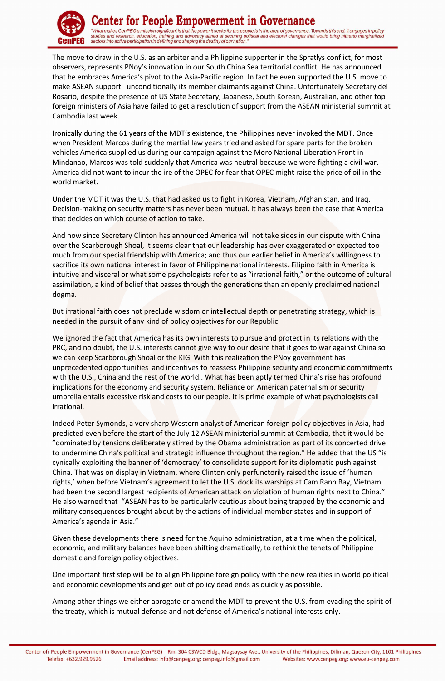

## enter for People Empowerment in Governance

"What makes CenPEG's mission significant is that the power it seeks for the people is in the area of governance. Towards this end, it engages in policy<br>studies and research, education, training and advocacy aimed at securi

The move to draw in the U.S. as an arbiter and a Philippine supporter in the Spratlys conflict, for most observers, represents PNoy's innovation in our South China Sea territorial conflict. He has announced that he embraces America's pivot to the Asia-Pacific region. In fact he even supported the U.S. move to make ASEAN support unconditionally its member claimants against China. Unfortunately Secretary del Rosario, despite the presence of US State Secretary, Japanese, South Korean, Australian, and other top foreign ministers of Asia have failed to get a resolution of support from the ASEAN ministerial summit at Cambodia last week.

Ironically during the 61 years of the MDT's existence, the Philippines never invoked the MDT. Once when President Marcos during the martial law years tried and asked for spare parts for the broken vehicles America supplied us during our campaign against the Moro National Liberation Front in Mindanao, Marcos was told suddenly that America was neutral because we were fighting a civil war. America did not want to incur the ire of the OPEC for fear that OPEC might raise the price of oil in the world market.

Under the MDT it was the U.S. that had asked us to fight in Korea, Vietnam, Afghanistan, and Iraq. Decision-making on security matters has never been mutual. It has always been the case that America that decides on which course of action to take.

And now since Secretary Clinton has announced America will not take sides in our dispute with China over the Scarborough Shoal, it seems clear that our leadership has over exaggerated or expected too much from our special friendship with America; and thus our earlier belief in America's willingness to sacrifice its own national interest in favor of Philippine national interests. Filipino faith in America is intuitive and visceral or what some psychologists refer to as "irrational faith," or the outcome of cultural assimilation, a kind of belief that passes through the generations than an openly proclaimed national dogma.

But irrational faith does not preclude wisdom or intellectual depth or penetrating strategy, which is needed in the pursuit of any kind of policy objectives for our Republic.

We ignored the fact that America has its own interests to pursue and protect in its relations with the PRC, and no doubt, the U.S. interests cannot give way to our desire that it goes to war against China so we can keep Scarborough Shoal or the KIG. With this realization the PNoy government has unprecedented opportunities and incentives to reassess Philippine security and economic commitments with the U.S., China and the rest of the world.. What has been aptly termed China's rise has profound implications for the economy and security system. Reliance on American paternalism or security umbrella entails excessive risk and costs to our people. It is prime example of what psychologists call irrational.

Indeed Peter Symonds, a very sharp Western analyst of American foreign policy objectives in Asia, had predicted even before the start of the July 12 ASEAN ministerial summit at Cambodia, that it would be "dominated by tensions deliberately stirred by the Obama administration as part of its concerted drive to undermine China's political and strategic influence throughout the region." He added that the US "is cynically exploiting the banner of 'democracy' to consolidate support for its diplomatic push against China. That was on display in Vietnam, where Clinton only perfunctorily raised the issue of 'human rights,' when before Vietnam's agreement to let the U.S. dock its warships at Cam Ranh Bay, Vietnam had been the second largest recipients of American attack on violation of human rights next to China." He also warned that "ASEAN has to be particularly cautious about being trapped by the economic and military consequences brought about by the actions of individual member states and in support of America's agenda in Asia."

Given these developments there is need for the Aquino administration, at a time when the political, economic, and military balances have been shifting dramatically, to rethink the tenets of Philippine domestic and foreign policy objectives.

One important first step will be to align Philippine foreign policy with the new realities in world political and economic developments and get out of policy dead ends as quickly as possible.

Among other things we either abrogate or amend the MDT to prevent the U.S. from evading the spirit of the treaty, which is mutual defense and not defense of America's national interests only.